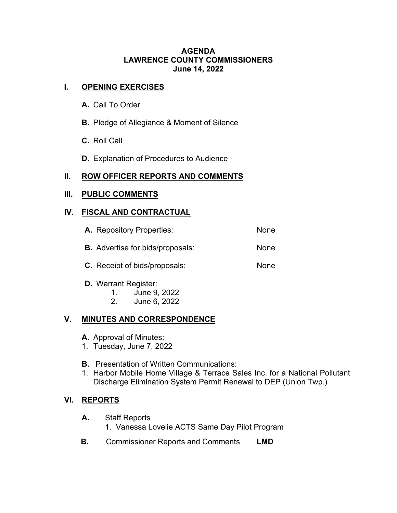### **AGENDA LAWRENCE COUNTY COMMISSIONERS June 14, 2022**

# **I. OPENING EXERCISES**

- **A.** Call To Order
- **B.** Pledge of Allegiance & Moment of Silence
- **C.** Roll Call
- **D.** Explanation of Procedures to Audience

# **II. ROW OFFICER REPORTS AND COMMENTS**

### **III. PUBLIC COMMENTS**

# **IV. FISCAL AND CONTRACTUAL**

| <b>A.</b> Repository Properties:        | None |
|-----------------------------------------|------|
| <b>B.</b> Advertise for bids/proposals: | None |
| <b>C.</b> Receipt of bids/proposals:    | None |

- **D.** Warrant Register:
	- 1. June 9, 2022
	- 2. June 6, 2022

# **V. MINUTES AND CORRESPONDENCE**

- **A.** Approval of Minutes:
- 1. Tuesday, June 7, 2022
- **B.** Presentation of Written Communications:
- 1. Harbor Mobile Home Village & Terrace Sales Inc. for a National Pollutant Discharge Elimination System Permit Renewal to DEP (Union Twp.)

# **VI. REPORTS**

- **A.** Staff Reports
	- 1. Vanessa Lovelie ACTS Same Day Pilot Program
- **B.** Commissioner Reports and Comments **LMD**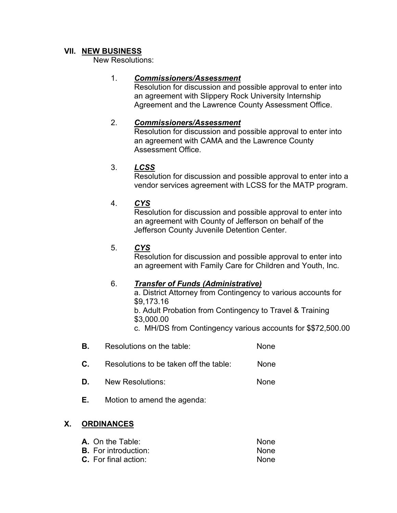### **VII. NEW BUSINESS**

New Resolutions:

### 1. *Commissioners/Assessment*

Resolution for discussion and possible approval to enter into an agreement with Slippery Rock University Internship Agreement and the Lawrence County Assessment Office.

### 2. *Commissioners/Assessment*

Resolution for discussion and possible approval to enter into an agreement with CAMA and the Lawrence County Assessment Office.

# 3. *LCSS*

Resolution for discussion and possible approval to enter into a vendor services agreement with LCSS for the MATP program.

### 4. *CYS*

Resolution for discussion and possible approval to enter into an agreement with County of Jefferson on behalf of the Jefferson County Juvenile Detention Center.

#### 5. *CYS*

Resolution for discussion and possible approval to enter into an agreement with Family Care for Children and Youth, Inc.

#### 6. *Transfer of Funds (Administrative)*

a. District Attorney from Contingency to various accounts for \$9,173.16

b. Adult Probation from Contingency to Travel & Training \$3,000.00

c. MH/DS from Contingency various accounts for \$\$72,500.00

- **B.** Resolutions on the table: None
- **C.** Resolutions to be taken off the table: None
- **D.** New Resolutions: None
- **E.** Motion to amend the agenda:

# **X. ORDINANCES**

| <b>A.</b> On the Table:     | None. |
|-----------------------------|-------|
| <b>B.</b> For introduction: | None  |
| $C.$ For final action:      | None  |